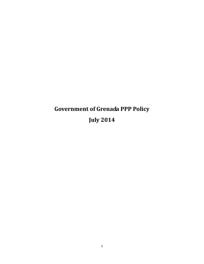# **Government of Grenada PPP Policy July 2014**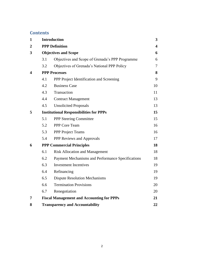### **Contents**

| $\mathbf{1}$ | <b>Introduction</b>                            |                                                   |    |  |
|--------------|------------------------------------------------|---------------------------------------------------|----|--|
| 2            | <b>PPP Definition</b>                          |                                                   |    |  |
| 3            | <b>Objectives and Scope</b>                    |                                                   |    |  |
|              | 3.1                                            | Objectives and Scope of Grenada's PPP Programme   | 6  |  |
|              | 3.2                                            | Objectives of Grenada's National PPP Policy       | 7  |  |
| 4            | <b>PPP Processes</b>                           |                                                   |    |  |
|              | 4.1                                            | PPP Project Identification and Screening          | 9  |  |
|              | 4.2                                            | <b>Business Case</b>                              | 10 |  |
|              | 4.3                                            | Transaction                                       | 11 |  |
|              | 4.4                                            | <b>Contract Management</b>                        | 13 |  |
|              | 4.5                                            | <b>Unsolicited Proposals</b>                      | 13 |  |
| 5            | <b>Institutional Responsibilities for PPPs</b> |                                                   |    |  |
|              | 5.1                                            | <b>PPP Steering Committee</b>                     | 15 |  |
|              | 5.2                                            | PPP Core Team                                     | 16 |  |
|              | 5.3                                            | <b>PPP</b> Project Teams                          | 16 |  |
|              | 5.4                                            | PPP Reviews and Approvals                         | 17 |  |
| 6            | <b>PPP Commercial Principles</b>               |                                                   |    |  |
|              | 6.1                                            | <b>Risk Allocation and Management</b>             | 18 |  |
|              | 6.2                                            | Payment Mechanisms and Performance Specifications | 18 |  |
|              | 6.3                                            | <b>Investment Incentives</b>                      | 19 |  |
|              | 6.4                                            | Refinancing                                       | 19 |  |
|              | 6.5                                            | <b>Dispute Resolution Mechanisms</b>              | 19 |  |
|              | 6.6                                            | <b>Termination Provisions</b>                     | 20 |  |
|              | 6.7                                            | Renegotiation                                     | 20 |  |
| 7            |                                                | <b>Fiscal Management and Accounting for PPPs</b>  | 21 |  |
| 8            |                                                | <b>Transparency and Accountability</b>            | 22 |  |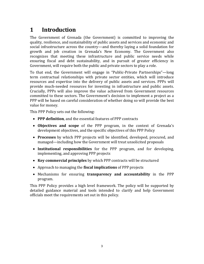# <span id="page-2-0"></span>**1 Introduction**

The Government of Grenada (the Government) is committed to improving the quality, resilience, and sustainability of public assets and services and economic and social infrastructure across the country—and thereby laying a solid foundation for growth and job creation in Grenada's New Economy. The Government also recognizes that meeting these infrastructure and public service needs while ensuring fiscal and debt sustainability, and in pursuit of greater efficiency in Government, will require both the public and private sectors to play a role.

To that end, the Government will engage in "Public-Private Partnerships"—long term contractual relationships with private sector entities, which will introduce resources and expertise into the delivery of public assets and services. PPPs will provide much-needed resources for investing in infrastructure and public assets. Crucially, PPPs will also improve the value achieved from Government resources committed to these sectors. The Government's decision to implement a project as a PPP will be based on careful consideration of whether doing so will provide the best value for money.

This PPP Policy sets out the following:

- **PPP definition**, and the essential features of PPP contracts
- **Objectives and scope** of the PPP program, in the context of Grenada's development objectives, and the specific objectives of this PPP Policy
- **Processes** by which PPP projects will be identified, developed, procured, and managed—including how the Government will treat unsolicited proposals
- **Institutional responsibilities** for the PPP program, and for developing, implementing, and approving PPP projects
- **Key commercial principles** by which PPP contracts will be structured
- Approach to managing the **fiscal implications** of PPP projects
- Mechanisms for ensuring **transparency and accountability** in the PPP program.

This PPP Policy provides a high level framework. The policy will be supported by detailed guidance material and tools intended to clarify and help Government officials meet the requirements set out in this policy.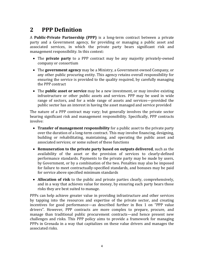# <span id="page-3-0"></span>**2 PPP Definition**

A **Public-Private Partnership (PPP)** is a long-term contract between a private party and a Government agency, for providing or managing a public asset and associated services, in which the private party bears significant risk and management responsibility. In this context:

- The **private party** to a PPP contract may be any majority privately-owned company or consortium
- The **government agency** may be a Ministry, a Government-owned Company, or any other public procuring entity. This agency retains overall responsibility for ensuring the service is provided to the quality required, by carefully managing the PPP contract
- The **public asset or service** may be a new investment, or may involve existing infrastructure or other public assets and services. PPP may be used in wide range of sectors, and for a wide range of assets and services—provided the public sector has an interest in having the asset managed and service provided

The nature of a PPP contract may vary; but generally involves the private sector bearing significant risk and management responsibility. Specifically, PPP contracts involve:

- **Transfer of management responsibility** for a public asset to the private party over the duration of a long-term contract. This may involve financing, designing, building or rehabilitating, maintaining, and operating the public asset and associated services; or some subset of these functions
- **Remuneration to the private party based on outputs delivered**, such as the availability of the asset or the provision of services to clearly-defined performance standards. Payments to the private party may be made by users, by Government, or by a combination of the two. Penalties may also be imposed for failure to meet contractually-specified standards, and bonuses may be paid for service above specified minimum standards
- **Allocation of risk** to the public and private parties clearly, comprehensively, and in a way that achieves value for money, by ensuring each party bears those risks they are best suited to manage.

PPPs can help achieve greater value in providing infrastructure and other services by tapping into the resources and expertise of the private sector, and creating incentives for good performance—as described further in Box 1 on "PPP value drivers". However, PPP contracts are more complex to prepare, procure, and manage than traditional public procurement contracts—and hence present new challenges and risks. This PPP policy aims to provide a framework for managing PPPs in Grenada in a way that capitalizes on these value drivers and manages the associated risks.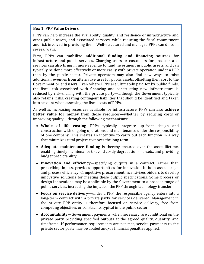#### **Box 1: PPP Value Drivers**

PPPs can help increase the availability, quality, and resilience of infrastructure and other public assets, and associated services, while reducing the fiscal commitment and risk involved in providing them. Well-structured and managed PPPs can do so in several ways.

First, PPPs can **mobilize additional funding and financing sources** for infrastructure and public services. Charging users or customers for products and services can also bring in more revenue to fund investment in public assets, and can typically be done more effectively or more easily with private operation under a PPP than by the public sector. Private operators may also find new ways to raise additional revenues from alternative uses for public assets, offsetting their cost to the Government or end users. Even where PPPs are ultimately paid for by public funds, the fiscal risk associated with financing and constructing new infrastructure is reduced by risk-sharing with the private party—although the Government typically also retains risks, creating contingent liabilities that should be identified and taken into account when assessing the fiscal costs of PPPs.

As well as increasing resources available for infrastructure, PPPs can also **achieve better value for money** from those resources—whether by reducing costs or improving quality—through the following mechanisms:

- **Whole of life costing**—PPPs typically integrate up-front design and construction with ongoing operations and maintenance under the responsibility of one company. This creates an incentive to carry out each function in a way that minimizes total project cost over the long term
- **Adequate maintenance funding** is thereby ensured over the asset lifetime, enabling timely maintenance to avoid costly degradation of assets, and providing budget predictability
- **Innovation and efficiency**—specifying outputs in a contract, rather than prescribing inputs, provides opportunities for innovation in both asset design and process efficiency. Competitive procurement incentivizes bidders to develop innovative solutions for meeting these output specifications. Some process or design innovations may be applicable by the Government to a broader range of public services, increasing the impact of the PPP through technology transfer
- **Focus on service delivery**—under a PPP, the responsible agency enters into a long-term contract with a private party for services delivered. Management in the private PPP entity is therefore focused on service delivery, free from competing objectives or constraints typical in the public sector
- **Accountability**—Government payments, when necessary, are conditional on the private party providing specified outputs at the agreed quality, quantity, and timeframe. If performance requirements are not met, service payments to the private sector party may be abated and/or financial penalties applied.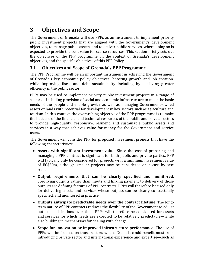# <span id="page-5-0"></span>**3 Objectives and Scope**

The Government of Grenada will use PPPs as an instrument to implement priority public investment projects that are aligned with the Government's development objectives, to manage public assets, and to deliver public services, where doing so is expected to provide the best value for scarce resources. This section briefly sets out the objectives of the PPP programme, in the context of Grenada's development objectives, and the specific objectives of this PPP Policy.

### <span id="page-5-1"></span>**3.1 Objectives and Scope of Grenada's PPP Programme**

The PPP Programme will be an important instrument in achieving the Government of Grenada's key economic policy objectives: boosting growth and job creation, while improving fiscal and debt sustainability including by achieving greater efficiency in the public sector.

PPPs may be used to implement priority public investment projects in a range of sectors—including provision of social and economic infrastructure to meet the basic needs of the people and enable growth, as well as managing Government-owned assets or lands with potential for development in key sectors such as agriculture and tourism. In this context ,the overarching objective of the PPP programme is to make the best use of the financial and technical resources of the public and private sectors to provide high-quality, responsive, resilient, and sustainable public assets and services in a way that achieves value for money for the Government and service users.

The Government will consider PPP for proposed investment projects that have the following characteristics:

- **Assets with significant investment value**. Since the cost of preparing and managing a PPP contract is significant for both public and private parties, PPP will typically only be considered for projects with a minimum investment value of EC\$50m, although smaller projects may be considered on a case-by-case basis
- **Output requirements that can be clearly specified and monitored**. Specifying outputs rather than inputs and linking payment to delivery of those outputs are defining features of PPP contracts. PPPs will therefore be used only for delivering assets and services whose outputs can be clearly contractually specified, and monitored in practice
- **Outputs anticipate predictable needs over the contract lifetime**. The longterm nature of PPP contracts reduces the flexibility of the Government to adjust output specifications over time. PPPs will therefore be considered for assets and services for which needs are expected to be relatively predictable—while also building in mechanisms for dealing with change
- **Scope for innovation or improved infrastructure performance.** The use of PPPs will be focused on those sectors where Grenada could benefit most from introducing private sector and international experience and expertise—such as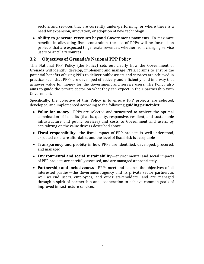sectors and services that are currently under-performing, or where there is a need for expansion, innovation, or adoption of new technology

 **Ability to generate revenues beyond Government payments**. To maximize benefits in alleviating fiscal constraints, the use of PPPs will be focused on projects that are expected to generate revenues, whether from charging service users or ancillary sources.

### <span id="page-6-0"></span>**3.2 Objectives of Grenada's National PPP Policy**

This National PPP Policy (the Policy) sets out clearly how the Government of Grenada will identify, develop, implement and manage PPPs. It aims to ensure the potential benefits of using PPPs to deliver public assets and services are achieved in practice, such that PPPs are developed effectively and efficiently, and in a way that achieves value for money for the Government and service users. The Policy also aims to guide the private sector on what they can expect in their partnership with Government.

Specifically, the objective of this Policy is to ensure PPP projects are selected, developed, and implemented according to the following **guiding principles**:

- **Value for money**—PPPs are selected and structured to achieve the optimal combination of benefits (that is, quality, responsive, resilient, and sustainable infrastructure and public services) and costs to Government and users, by capitalizing on the value drivers described above
- **Fiscal responsibility**—the fiscal impact of PPP projects is well-understood, expected costs are affordable, and the level of fiscal risk is acceptable
- **Transparency and probity** in how PPPs are identified, developed, procured, and managed
- **Environmental and social sustainability**—environmental and social impacts of PPP projects are carefully assessed, and are managed appropriately
- **Partnership and inclusiveness**—PPPs meet and balance the objectives of all interested parties—the Government agency and its private sector partner, as well as end users, employees, and other stakeholders—and are managed through a spirit of partnership and cooperation to achieve common goals of improved infrastructure services.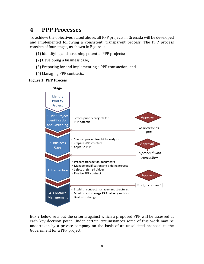# <span id="page-7-0"></span>**4 PPP Processes**

To achieve the objectives stated above, all PPP projects in Grenada will be developed and implemented following a consistent, transparent process. The PPP process consists of four stages, as shown in Figure 1:

- (1) Identifying and screening potential PPP projects;
- (2) Developing a business case;
- (3) Preparing for and implementing a PPP transaction; and
- (4) Managing PPP contracts.





Box 2 below sets out the criteria against which a proposed PPP will be assessed at each key decision point. Under certain circumstances some of this work may be undertaken by a private company on the basis of an unsolicited proposal to the Government for a PPP project.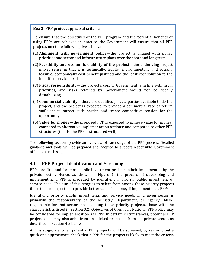#### **Box 2: PPP project appraisal criteria**

To ensure that the objectives of the PPP program and the potential benefits of using PPPs are achieved in practice, the Government will ensure that all PPP projects meet the following five criteria:

- (1) **Alignment with government policy**—the project is aligned with policy priorities and sector and infrastructure plans over the short and long term
- (2) **Feasibility and economic viability of the project**—the underlying project makes sense, in that it is technically, legally, environmentally and socially feasible; economically cost-benefit justified and the least-cost solution to the identified service need
- (3) **Fiscal responsibility**—the project's cost to Government is in line with fiscal priorities, and risks retained by Government would not be fiscally destabilizing
- (4) **Commercial viability**—there are qualified private parties available to do the project, and the project is expected to provide a commercial rate of return sufficient to attract such parties and create competitive tension for the opportunity
- (5) **Value for money**—the proposed PPP is expected to achieve value for money, compared to alternative implementation options; and compared to other PPP structures (that is, the PPP is structured well).

The following sections provide an overview of each stage of the PPP process. Detailed guidance and tools will be prepared and adopted to support responsible Government officials at each stage.

#### <span id="page-8-0"></span>**4.1 PPP Project Identification and Screening**

PPPs are first and foremost public investment projects; albeit implemented by the private sector. Hence, as shown in Figure 1, the process of developing and implementing a PPP is preceded by identifying a priority public investment or service need. The aim of this stage is to select from among these priority projects those that are expected to provide better value for money if implemented as PPPs.

Identifying priority public investments and service needs in a given sector is primarily the responsibility of the Ministry, Department, or Agency (MDA) responsible for that sector. From among these priority projects, those with the characteristics listed in Section [3.2: Objectives of Grenada](#page-6-0)'s National PPP Policy may be considered for implementation as PPPs. In certain circumstances, potential PPP project ideas may also arise from unsolicited proposals from the private sector, as described in Section 4.5 below.

At this stage, identified potential PPP projects will be screened, by carrying out a quick and approximate check that a PPP for the project is likely to meet the criteria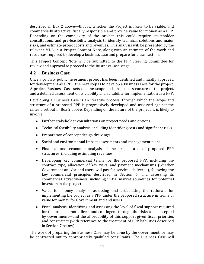described in Box 2 above—that is, whether the Project is likely to be viable, and commercially attractive, fiscally responsible and provide value for money as a PPP. Depending on the complexity of the project, this could require stakeholder consultations, and pre-feasibility analysis to identify technical solutions and major risks, and estimate project costs and revenues. This analysis will be presented by the relevant MDA in a Project Concept Note, along with an estimate of the work and resources required to develop a business case and prepare for a transaction.

This Project Concept Note will be submitted to the PPP Steering Committee for review and approval to proceed to the Business Case stage.

### <span id="page-9-0"></span>**4.2 Business Case**

Once a priority public investment project has been identified and initially approved for development as a PPP, the next step is to develop a Business Case for the project. A project Business Case sets out the scope and proposed structure of the project, and a detailed assessment of its viability and suitability for implementation as a PPP.

Developing a Business Case is an iterative process, through which the scope and structure of a proposed PPP is progressively developed and assessed against the criteria set out in Box 2 above. Depending on the nature of the project, it is likely to involve:

- Further stakeholder consultations on project needs and options
- Technical feasibility analysis, including identifying costs and significant risks
- Preparation of concept design drawings
- Social and environmental impact assessments and management plans
- Financial and economic analysis of the project and of proposed PPP structures, including estimating revenues
- Developing key commercial terms for the proposed PPP, including the contract type, allocation of key risks, and payment mechanisms (whether Government and/or end users will pay for services delivered), following the key commercial principles described in Section [6,](#page-17-0) and assessing its commercial attractiveness, including initial market soundings for potential investors in the project
- Value for money analysis: assessing and articulating the rationale for implementing the project as a PPP under the proposed structure in terms of value for money for Government and end users
- Fiscal analysis: identifying and assessing the level of fiscal support required for the project—both direct and contingent through the risks to be accepted by Government—and the affordability of this support given fiscal priorities and constraints (with reference to the treatment of PPP liabilities described in Sectio[n 7](#page-20-0) below).

The work of preparing the Business Case may be done by the Government, or may be contracted out to appropriately qualified consultants. The Business Case will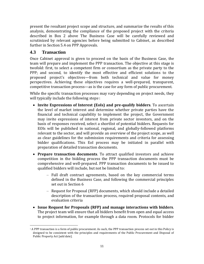present the resultant project scope and structure, and summarize the results of this analysis, demonstrating the compliance of the proposed project with the criteria described in Box 2 above The Business Case will be carefully reviewed and scrutinized by relevant agencies before being submitted to Cabinet, as described further in Section 5.4 on PPP Approvals.

#### <span id="page-10-0"></span>**4.3 Transaction**

 $\overline{a}$ 

Once Cabinet approval is given to proceed on the basis of the Business Case, the team will prepare and implement the PPP transaction. The objective at this stage is twofold: first, to select a competent firm or consortium as the private party to the PPP; and second, to identify the most effective and efficient solutions to the proposed project's objectives—from both technical and value for money perspectives. Achieving these objectives requires a well-prepared, transparent, competitive transaction process—as is the case for any form of public procurement.

While the specific transaction processes may vary depending on project needs, they will typically include the following steps<sup>1</sup>:

- **Invite Expressions of Interest (EoIs) and pre-qualify bidders**. To ascertain the level of market interest and determine whether private parties have the financial and technical capability to implement the project, the Government may invite expressions of interest from private sector investors, and on the basis of responses received, select a shortlist of potential bidders. Requests for EOIs will be published in national, regional, and globally-followed platforms relevant to the sector, and will provide an overview of the project scope, as well as clear guidelines for the submission requirements and criteria for assessing bidder qualifications. This EoI process may be initiated in parallel with preparation of detailed transaction documents.
- **Prepare transaction documents**. To attract qualified investors and achieve competition in the bidding process the PPP transaction documents must be comprehensive and well-prepared. PPP transaction documents to be issued to qualified bidders will include, but not be limited to:
	- Full draft contract agreements, based on the key commercial terms defined in the Business Case, and following the commercial principles set out in Section [6](#page-17-0)
	- Request for Proposal (RFP) documents, which should include a detailed description of the transaction process, required proposal contents, and evaluation criteria
- **Issue Request for Proposals (RFP) and manage interactions with bidders**. The project team will ensure that all bidders benefit from open and equal access to project information, for example through a data room. Protocols for bidder

<sup>1</sup> A PPP transaction is a form of public procurement. As such, the PPP transaction process set out in this Policy is designed to be consistent with the principles and requirements of the Public Procurement and Disposal of Public Property Act [add date].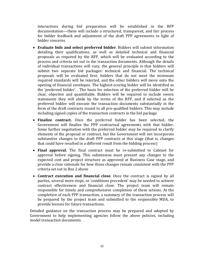interactions during bid preparation will be established in the RFP documentation—these will include a structured, transparent, and fair process for bidder feedback and adjustment of the draft PPP agreements in light of bidder concerns

- **Evaluate bids and select preferred bidder**. Bidders will submit information detailing their qualifications, as well as detailed technical and financial proposals as required by the RFP, which will be evaluated according to the process and criteria set out in the transaction documents. Although the details of individual transactions will vary, the general principle is that bidders will submit two separate bid packages: technical and financial. The technical proposals will be evaluated first; bidders that do not meet the minimum required standards will be rejected, and the other bidders will move onto the opening of financial envelopes. The highest-scoring bidder will be identified as the 'preferred bidder'. . The basis for selection of the preferred bidder will be clear, objective and quantifiable. Bidders will be required to include sworn statements they will abide by the terms of the RFP, and if selected as the preferred bidder will execute the transaction documents substantially in the form of the draft contracts issued to all pre-qualified bidders. This may include including signed copies of the transaction contracts in the bid package
- **Finalize contract.** Once the preferred bidder has been selected, the Government will finalize the PPP contractual agreements with that bidder. Some further negotiation with the preferred bidder may be required to clarify elements of the proposal or contract, but the Government will not incorporate substantive changes to the draft PPP contracts at this stage (that is, changes that could have resulted in a different result from the bidding process)
- **Final approval.** The final contract must be re-submitted to Cabinet for approval before signing. This submission must present any changes to the expected cost and project structure as approved at Business Case stage, and provide a clear rationale for how those changes remain consistent with the PPP criteria set out in Box 2 above
- **Contract execution and financial close**. Once the contract is signed by all parties, several more steps, or 'conditions precedent' may be needed to achieve contract effectiveness and financial close. The project team will remain responsible for timely and comprehensive completion of these actions. At the completion of each PPP transaction, a summary of the transaction process will be prepared by the project team and submitted to the responsible MDA, to provide lessons for future transactions.

Detailed guidance on the transaction process may be prepared and adopted by Government to help implementing agencies follow the above policies, including model transaction documents.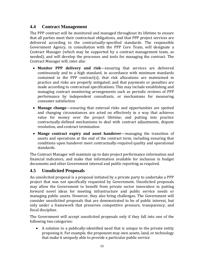### <span id="page-12-0"></span>**4.4 Contract Management**

The PPP contract will be monitored and managed throughout its lifetime to ensure that all parties meet their contractual obligations, and that PPP project services are delivered according to the contractually-specified standards. The responsible Government Agency, in consultation with the PPP Core Team, will designate a Contract Manager (which may be supported by a contract management team, as needed), and will develop the processes and tools for managing the contract. The Contract Manager will, inter alia:

- **Monitor PPP delivery and risk**—ensuring that services are delivered continuously and to a high standard, in accordance with minimum standards contained in the PPP contract(s); that risk allocations are maintained in practice and risks are properly mitigated; and that payments or penalties are made according to contractual specifications. This may include establishing and managing contract monitoring arrangements such as periodic reviews of PPP performance by independent consultants, or mechanisms for measuring consumer satisfaction
- **Manage change**—ensuring that external risks and opportunities are spotted and changing circumstances are acted on effectively in a way that achieves value for money over the project lifetime; and putting into practice contractually-defined mechanisms to deal with contract adjustments, dispute resolution, and contract termination
- **Mange contract expiry and asset handover**—managing the transition of assets and operations at the end of the contract term, including ensuring that conditions upon handover meet contractually-required quality and operational standards.

The Contract Manager will maintain up to date project performance information and financial indicators, and make that information available for inclusion in budget documents and other Government internal and public reporting as required.

### <span id="page-12-1"></span>**4.5 Unsolicited Proposals**

An unsolicited proposal is a proposal initiated by a private party to undertake a PPP project that was not specifically requested by Government. Unsolicited proposals may allow the Government to benefit from private sector innovation in putting forward novel ideas for meeting infrastructure and public service needs or managing public assets. However, they also bring challenges. The Government will consider unsolicited proposals that are demonstrated to be of public interest, but only under a framework that preserves competitive pressure, transparency, and fiscal discipline.

The Government will accept unsolicited proposals only if they fall into one of the following two categories:

 A solution to a publically-identified need that is unique to the private entity proposing it. For example, the proponent may own assets, land, or technology that make it uniquely able to provide a particular public service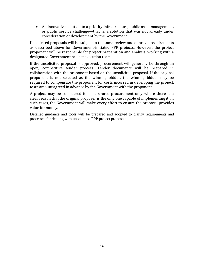An innovative solution to a priority infrastructure, public asset management, or public service challenge—that is, a solution that was not already under consideration or development by the Government.

Unsolicited proposals will be subject to the same review and approval requirements as described above for Government-initiated PPP projects. However, the project proponent will be responsible for project preparation and analysis, working with a designated Government project execution team.

If the unsolicited proposal is approved, procurement will generally be through an open, competitive tender process. Tender documents will be prepared in collaboration with the proponent based on the unsolicited proposal. If the original proponent is not selected as the winning bidder, the winning bidder may be required to compensate the proponent for costs incurred in developing the project, to an amount agreed in advance by the Government with the proponent.

A project may be considered for sole-source procurement only where there is a clear reason that the original proposer is the only one capable of implementing it. In such cases, the Government will make every effort to ensure the proposal provides value for money.

Detailed guidance and tools will be prepared and adopted to clarify requirements and processes for dealing with unsolicited PPP project proposals.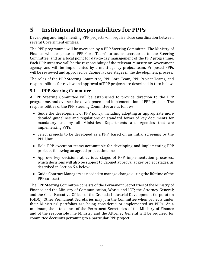# <span id="page-14-0"></span>**5 Institutional Responsibilities for PPPs**

Developing and implementing PPP projects will require close coordination between several Government entities.

The PPP programme will be overseen by a PPP Steering Committee. The Ministry of Finance will designate a 'PPP Core Team', to act as secretariat to the Steering Committee, and as a focal point for day-to-day management of the PPP programme. Each PPP initiative will be the responsibility of the relevant Ministry or Government agency, and will be implemented by a multi-agency project team. Proposed PPPs will be reviewed and approved by Cabinet at key stages in the development process.

The roles of the PPP Steering Committee, PPP Core Team, PPP Project Teams, and responsibilities for review and approval of PPP projects are described in turn below.

#### <span id="page-14-1"></span>**5.1 PPP Steering Committee**

A PPP Steering Committee will be established to provide direction to the PPP programme, and oversee the development and implementation of PPP projects. The responsibilities of the PPP Steering Committee are as follows:

- Guide the development of PPP policy, including adopting as appropriate more detailed guidelines and regulations or standard forms of key documents for mandatory use by all Ministries, Departments and Agencies that are implementing PPPs
- Select projects to be developed as a PPP, based on an initial screening by the PPP Unit
- Hold PPP execution teams accountable for developing and implementing PPP projects, following an agreed project timeline
- Approve key decisions at various stages of PPP implementation processes, which decisions will also be subject to Cabinet approval at key project stages, as described in Section 5.4 below
- Guide Contract Managers as needed to manage change during the lifetime of the PPP contract.

The PPP Steering Committee consists of the Permanent Secretaries of the Ministry of Finance and the Ministry of Communication, Works and ICT; the Attorney General; and the Chief Executive Officer of the Grenada Industrial Development Corporation (GIDC). Other Permanent Secretaries may join the Committee when projects under their Ministries' portfolios are being considered or implemented as PPPs. At a minimum, the attendance of the Permanent Secretaries of the Ministry of Finance and of the responsible line Ministry and the Attorney General will be required for committee decisions pertaining to a particular PPP project.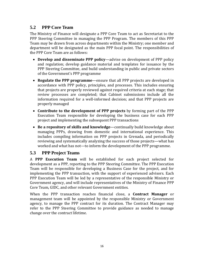### <span id="page-15-0"></span>**5.2 PPP Core Team**

The Ministry of Finance will designate a PPP Core Team to act as Secretariat to the PPP Steering Committee in managing the PPP Program. The members of this PPP Team may be drawn from across departments within the Ministry; one member and department will be designated as the main PPP focal point. The responsibilities of the PPP Core Team are as follows:

- **Develop and disseminate PPP policy**—advise on development of PPP policy and regulation; develop guidance material and templates for issuance by the PPP Steering Committee, and build understanding in public and private sectors of the Government's PPP programme
- **Regulate the PPP programme**—ensure that all PPP projects are developed in accordance with PPP policy, principles, and processes. This includes ensuring that projects are properly reviewed against required criteria at each stage; that review processes are completed; that Cabinet submissions include all the information required for a well-informed decision; and that PPP projects are properly managed
- **Contribute to the development of PPP projects** by forming part of the PPP Execution Team responsible for developing the business case for each PPP project and implementing the subsequent PPP transactions
- **Be a repository of skills and knowledge**—continually build knowledge about managing PPPs, drawing from domestic and international experience. This includes compiling information on PPP projects in Grenada, and periodically reviewing and systematically analyzing the success of those projects—what has worked and what has not—to inform the development of the PPP programme.

### <span id="page-15-1"></span>**5.3 PPP Project Teams**

A **PPP Execution Team** will be established for each project selected for development as a PPP, reporting to the PPP Steering Committee. The PPP Execution Team will be responsible for developing a Business Case for the project, and for implementing the PPP transaction, with the support of experienced advisors. Each PPP Execution Team will be led by a representative of the responsible Ministry or Government agency, and will include representatives of the Ministry of Finance PPP Core Team, GIDC, and other relevant Government entities.

When the PPP transaction reaches financial close, a **Contract Manager** or management team will be appointed by the responsible Ministry or Government agency, to manage the PPP contract for its duration. The Contract Manager may refer to the PPP Steering Committee to provide guidance as needed to manage change over the contract lifetime.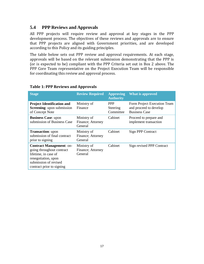#### <span id="page-16-0"></span>**5.4 PPP Reviews and Approvals**

All PPP projects will require review and approval at key stages in the PPP development process. The objectives of these reviews and approvals are to ensure that PPP projects are aligned with Government priorities, and are developed according to this Policy and its guiding principles.

The table below sets out PPP review and approval requirements. At each stage, approvals will be based on the relevant submission demonstrating that the PPP is (or is expected to be) compliant with the PPP Criteria set out in Box 2 above. The PPP Core Team representative on the Project Execution Team will be responsible for coordinating this review and approval process.

| <b>Stage</b>                                                                                                                                                      | <b>Review Required</b>                      | <b>Approving</b><br><b>Authority</b> | <b>What is approved</b>                                                       |
|-------------------------------------------------------------------------------------------------------------------------------------------------------------------|---------------------------------------------|--------------------------------------|-------------------------------------------------------------------------------|
| <b>Project Identification and</b><br><b>Screening:</b> upon submission<br>of Concept Note                                                                         | Ministry of<br>Finance                      | <b>PPP</b><br>Steering<br>Committee  | Form Project Execution Team<br>and proceed to develop<br><b>Business Case</b> |
| <b>Business Case: upon</b><br>submission of Business Case                                                                                                         | Ministry of<br>Finance; Attorney<br>General | Cabinet                              | Proceed to prepare and<br>implement transaction                               |
| <b>Transaction:</b> upon<br>submission of final contract<br>prior to signing                                                                                      | Ministry of<br>Finance; Attorney<br>General | Cabinet                              | Sign PPP Contract                                                             |
| <b>Contract Management: on-</b><br>going throughout contract<br>lifetime, in case of<br>renegotiation, upon<br>submission of revised<br>contract prior to signing | Ministry of<br>Finance; Attorney<br>General | Cabinet                              | Sign revised PPP Contract                                                     |

#### **Table 1: PPP Reviews and Approvals**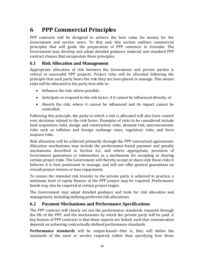# <span id="page-17-0"></span>**6 PPP Commercial Principles**

PPP contracts will be designed to achieve the best value for money for the Government and service users. To that end, this section outlines commercial principles that will guide the preparation of PPP contracts in Grenada. The Government may develop and adopt detailed guidance material and standard PPP contract clauses that encapsulate these principles.

#### <span id="page-17-1"></span>**6.1 Risk Allocation and Management**

Appropriate allocation of risk between the Government and private parties is critical to successful PPP projects. Project risks will be allocated following the principle that each party bears the risk they are best-placed to manage. This means risks will be allocated to the party best able to:

- Influence the risk, where possible
- Anticipate or respond to the risk factor, if it cannot be influenced directly; or
- Absorb the risk, where it cannot be influenced and its impact cannot be controlled.

Following this principle, the party to which a risk is allocated will also have control over decisions related to the risk factor. Examples of risks to be considered include land acquisition risks, design and construction risks, demand risk, macroeconomic risks such as inflation and foreign exchange rates, regulatory risks, and force majeure risks.

Risk allocation will be achieved primarily through the PPP contractual agreements. Allocation mechanisms may include the performance-based payment and penalty mechanisms described in Section [6.2,](#page-17-2) and where appropriate, provision of Government guarantees or indemnities as a mechanism for accepting or sharing certain project risks. The Government will thereby accept or share only those risks it believes it is best positioned to manage, and will not offer general guarantees on overall project returns or loan repayments.

To ensure the intended risk transfer to the private party is achieved in practice, a minimum level of equity finance of the PPP project may be required. Performance bonds may also be required at certain project stages.

The Government may adopt detailed guidance and tools for risk allocation and management, including defining preferred risk allocations.

#### <span id="page-17-2"></span>**6.2 Payment Mechanisms and Performance Specifications**

The PPP contract will clearly set out the performance standards required through the life of the PPP, and the mechanisms by which the private party will be paid. A key feature of PPP contracts is that these aspects are linked, such that remuneration depends on achieving contractually-defined performance standards.

**Performance standards** will be output-based—that is, they will define the standards of the asset or service required, rather than specifying how those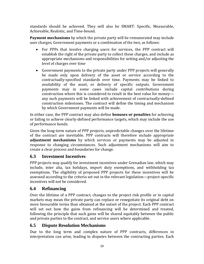standards should be achieved. They will also be SMART: Specific, Measurable, Achievable, Realistic, and Time-bound.

**Payment mechanisms** by which the private party will be remunerated may include user charges, Government payments or a combination of the two, as follows:

- For PPPs that involve charging users for services, the PPP contract will establish the right of the private party to collect these charges, and include as appropriate mechanisms and responsibilities for setting and/or adjusting the level of charges over time
- Government payments to the private party under PPP projects will generally be made only upon delivery of the asset or service according to the contractually-specified standards over time. Payments may be linked to availability of the asset, or delivery of specific outputs. Government payments may in some cases include capital contributions during construction where this is considered to result in the best value for money any such payments will be linked with achievement of contractually-defined construction milestones. The contract will define the timing and mechanism by which Government payments will be made.

In either case, the PPP contract may also define **bonuses or penalties** for achieving or failing to achieve clearly-defined performance targets, which may include the use of performance bonds.

Given the long-term nature of PPP projects, unpredictable changes over the lifetime of the contract are inevitable. PPP contracts will therefore include appropriate **adjustment mechanisms** by which services or payments may be adjusted in response to changing circumstances. Such adjustment mechanisms will aim to create a clear process and boundaries for change.

### <span id="page-18-0"></span>**6.3 Investment Incentives**

PPP projects may qualify for investment incentives under Grenadian law, which may include, inter alia, tax holidays, import duty exemptions, and withholding tax exemptions. The eligibility of proposed PPP projects for these incentives will be assessed according to the criteria set out in the relevant legislation—project-specific incentives will not be considered.

### <span id="page-18-1"></span>**6.4 Refinancing**

Over the lifetime of a PPP contract, changes to the project risk profile or in capital markets may mean the private party can replace or renegotiate its original debt on more favourable terms than obtained at the outset of the project. Each PPP contract will set out how the gains from refinancing will be determined and treated, following the principle that such gains will be shared equitably between the public and private parties to the contract, and service users where applicable.

### <span id="page-18-2"></span>**6.5 Dispute Resolution Mechanisms**

Due to the long term and complex nature of PPP contracts, differences in interpretation can arise, leading to disputes between the contracting parties. Each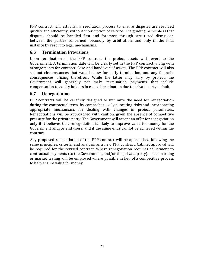PPP contract will establish a resolution process to ensure disputes are resolved quickly and efficiently, without interruption of service. The guiding principle is that disputes should be handled first and foremost through structured discussion between the parties concerned; secondly by arbitration; and only in the final instance by resort to legal mechanisms.

#### <span id="page-19-0"></span>**6.6 Termination Provisions**

Upon termination of the PPP contract, the project assets will revert to the Government. A termination date will be clearly set in the PPP contract, along with arrangements for contract close and handover of assets. The PPP contract will also set out circumstances that would allow for early termination, and any financial consequences arising therefrom. While the latter may vary by project, the Government will generally not make termination payments that include compensation to equity holders in case of termination due to private party default.

### <span id="page-19-1"></span>**6.7 Renegotiation**

PPP contracts will be carefully designed to minimize the need for renegotiation during the contractual term, by comprehensively allocating risks and incorporating appropriate mechanisms for dealing with changes in project parameters. Renegotiations will be approached with caution, given the absence of competitive pressure for the private party. The Government will accept an offer for renegotiation only if it believes that renegotiation is likely to improve value for money for the Government and/or end users, and if the same ends cannot be achieved within the contract.

Any proposed renegotiation of the PPP contract will be approached following the same principles, criteria, and analysis as a new PPP contract. Cabinet approval will be required for the revised contract. Where renegotiation requires adjustment to contractual payments (to the Government, and/or the private party), benchmarking or market testing will be employed where possible in lieu of a competitive process to help ensure value for money.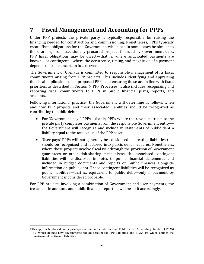# <span id="page-20-0"></span>**7 Fiscal Management and Accounting for PPPs**

Under PPP projects the private party is typically responsible for raising the financing needed for construction and commissioning. Nonetheless, PPPs typically create fiscal obligations for the Government, which can in some cases be similar to those arising from traditionally-procured projects financed by Government debt. PPP fiscal obligations may be direct—that is, where anticipated payments are known—or contingent—where the occurrence, timing, and magnitude of a payment depends on some uncertain future event.

The Government of Grenada is committed to responsible management of its fiscal commitments arising from PPP projects. This includes identifying and appraising the fiscal implications of all proposed PPPs and ensuring these are in line with fiscal priorities, as described in Section [4: PPP Processes.](#page-7-0) It also includes recognizing and reporting fiscal commitments to PPPs in public financial plans, reports, and accounts.

Following international practice<sup>2</sup>, the Government will determine as follows when and how PPP projects and their associated liabilities should be recognized as contributing to public debt:

- For 'Government-pays' PPPs—that is, PPPs where the revenue stream to the private party comprises payments from the responsible Government entity the Government will recognize and include in statements of public debt a liability equal to the total value of the PPP asset
- 'User-pays' PPPs will not generally be considered as creating liabilities that should be recognized and factored into public debt measures. Nonetheless, where these projects involve fiscal risk through the provision of Government guarantees or other risk-sharing mechanisms, the associated contingent liabilities will be disclosed in notes to public financial statements, and included in budget documents and reports on public finances alongside information on public debt. These contingent liabilities will be recognized as public liabilities—that is, equivalent to public debt—only if payment by Government is considered probable.

For PPP projects involving a combination of Government and user payments, the treatment in accounts and public financial reporting will be split accordingly.

 $\overline{a}$ 

<sup>2</sup> This approach is based on the principles set out in the International Public Sector Accounting Standard (IPSAS) 32, which defines how governments should account for PPP liabilities, and IPSAS 19, which defines the treatment of contingent liabilities.